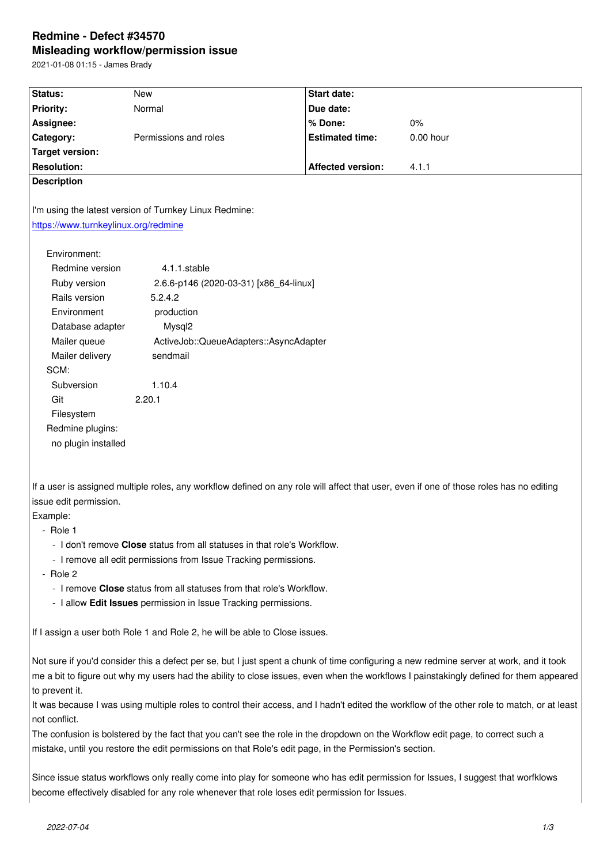#### **Misleading workflow/permission issue**

2021-01-08 01:15 - James Brady

| Status:                                                                                                                                     | <b>New</b>                                                                                                                              | <b>Start date:</b>       |           |  |  |
|---------------------------------------------------------------------------------------------------------------------------------------------|-----------------------------------------------------------------------------------------------------------------------------------------|--------------------------|-----------|--|--|
| <b>Priority:</b>                                                                                                                            | Normal                                                                                                                                  | Due date:                |           |  |  |
| Assignee:                                                                                                                                   |                                                                                                                                         | % Done:                  | 0%        |  |  |
| Category:                                                                                                                                   | Permissions and roles                                                                                                                   | <b>Estimated time:</b>   | 0.00 hour |  |  |
| <b>Target version:</b>                                                                                                                      |                                                                                                                                         |                          |           |  |  |
| <b>Resolution:</b>                                                                                                                          |                                                                                                                                         | <b>Affected version:</b> | 4.1.1     |  |  |
| <b>Description</b>                                                                                                                          |                                                                                                                                         |                          |           |  |  |
|                                                                                                                                             |                                                                                                                                         |                          |           |  |  |
| I'm using the latest version of Turnkey Linux Redmine:                                                                                      |                                                                                                                                         |                          |           |  |  |
| https://www.turnkeylinux.org/redmine                                                                                                        |                                                                                                                                         |                          |           |  |  |
|                                                                                                                                             |                                                                                                                                         |                          |           |  |  |
| Environment:                                                                                                                                |                                                                                                                                         |                          |           |  |  |
| Redmine version                                                                                                                             | 4.1.1.stable                                                                                                                            |                          |           |  |  |
| Ruby version                                                                                                                                | 2.6.6-p146 (2020-03-31) [x86_64-linux]                                                                                                  |                          |           |  |  |
| Rails version<br>5.2.4.2                                                                                                                    |                                                                                                                                         |                          |           |  |  |
| Environment<br>production                                                                                                                   |                                                                                                                                         |                          |           |  |  |
| Database adapter<br>Mysql2                                                                                                                  |                                                                                                                                         |                          |           |  |  |
| Mailer queue                                                                                                                                | ActiveJob::QueueAdapters::AsyncAdapter                                                                                                  |                          |           |  |  |
| Mailer delivery                                                                                                                             | sendmail                                                                                                                                |                          |           |  |  |
| SCM:                                                                                                                                        |                                                                                                                                         |                          |           |  |  |
| Subversion                                                                                                                                  | 1.10.4                                                                                                                                  |                          |           |  |  |
| Git                                                                                                                                         | 2.20.1                                                                                                                                  |                          |           |  |  |
| Filesystem                                                                                                                                  |                                                                                                                                         |                          |           |  |  |
| Redmine plugins:                                                                                                                            |                                                                                                                                         |                          |           |  |  |
| no plugin installed                                                                                                                         |                                                                                                                                         |                          |           |  |  |
|                                                                                                                                             |                                                                                                                                         |                          |           |  |  |
|                                                                                                                                             |                                                                                                                                         |                          |           |  |  |
|                                                                                                                                             | If a user is assigned multiple roles, any workflow defined on any role will affect that user, even if one of those roles has no editing |                          |           |  |  |
| issue edit permission.                                                                                                                      |                                                                                                                                         |                          |           |  |  |
| Example:                                                                                                                                    |                                                                                                                                         |                          |           |  |  |
| - Role 1                                                                                                                                    |                                                                                                                                         |                          |           |  |  |
| - I don't remove Close status from all statuses in that role's Workflow.                                                                    |                                                                                                                                         |                          |           |  |  |
| - I remove all edit permissions from Issue Tracking permissions.                                                                            |                                                                                                                                         |                          |           |  |  |
| - Role 2                                                                                                                                    |                                                                                                                                         |                          |           |  |  |
| - I remove Close status from all statuses from that role's Workflow.                                                                        |                                                                                                                                         |                          |           |  |  |
| - I allow Edit Issues permission in Issue Tracking permissions.                                                                             |                                                                                                                                         |                          |           |  |  |
|                                                                                                                                             |                                                                                                                                         |                          |           |  |  |
| If I assign a user both Role 1 and Role 2, he will be able to Close issues.                                                                 |                                                                                                                                         |                          |           |  |  |
|                                                                                                                                             |                                                                                                                                         |                          |           |  |  |
| Not sure if you'd consider this a defect per se, but I just spent a chunk of time configuring a new redmine server at work, and it took     |                                                                                                                                         |                          |           |  |  |
| me a bit to figure out why my users had the ability to close issues, even when the workflows I painstakingly defined for them appeared      |                                                                                                                                         |                          |           |  |  |
| to prevent it.                                                                                                                              |                                                                                                                                         |                          |           |  |  |
| It was because I was using multiple roles to control their access, and I hadn't edited the workflow of the other role to match, or at least |                                                                                                                                         |                          |           |  |  |
| not conflict.                                                                                                                               |                                                                                                                                         |                          |           |  |  |

The confusion is bolstered by the fact that you can't see the role in the dropdown on the Workflow edit page, to correct such a mistake, until you restore the edit permissions on that Role's edit page, in the Permission's section.

Since issue status workflows only really come into play for someone who has edit permission for Issues, I suggest that worfklows become effectively disabled for any role whenever that role loses edit permission for Issues.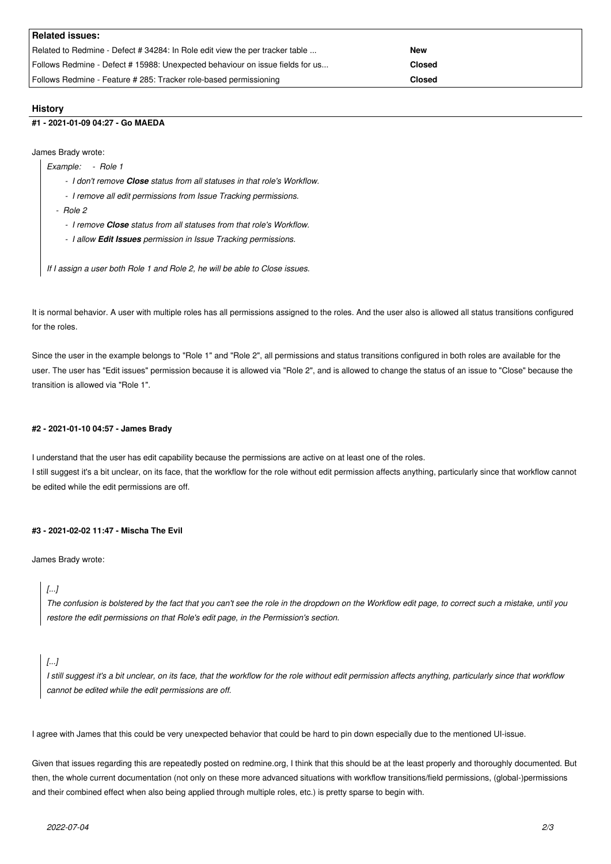| <b>Related issues:</b>                                                       |               |
|------------------------------------------------------------------------------|---------------|
| Related to Redmine - Defect # 34284: In Role edit view the per tracker table | New           |
| Follows Redmine - Defect #15988: Unexpected behaviour on issue fields for us | <b>Closed</b> |
| Follows Redmine - Feature # 285: Tracker role-based permissioning            | Closed        |

## **History**

## **#1 - 2021-01-09 04:27 - Go MAEDA**

James Brady wrote:

- *Example: Role 1*
	- *I don't remove Close status from all statuses in that role's Workflow.*
	- *I remove all edit permissions from Issue Tracking permissions.*
	- *Role 2*
		- *I remove Close status from all statuses from that role's Workflow.*
		- *I allow Edit Issues permission in Issue Tracking permissions.*

*If I assign a user both Role 1 and Role 2, he will be able to Close issues.*

It is normal behavior. A user with multiple roles has all permissions assigned to the roles. And the user also is allowed all status transitions configured for the roles.

Since the user in the example belongs to "Role 1" and "Role 2", all permissions and status transitions configured in both roles are available for the user. The user has "Edit issues" permission because it is allowed via "Role 2", and is allowed to change the status of an issue to "Close" because the transition is allowed via "Role 1".

## **#2 - 2021-01-10 04:57 - James Brady**

I understand that the user has edit capability because the permissions are active on at least one of the roles. I still suggest it's a bit unclear, on its face, that the workflow for the role without edit permission affects anything, particularly since that workflow cannot be edited while the edit permissions are off.

## **#3 - 2021-02-02 11:47 - Mischa The Evil**

James Brady wrote:

# *[...]*

*The confusion is bolstered by the fact that you can't see the role in the dropdown on the Workflow edit page, to correct such a mistake, until you restore the edit permissions on that Role's edit page, in the Permission's section.*

*I still suggest it's a bit unclear, on its face, that the workflow for the role without edit permission affects anything, particularly since that workflow cannot be edited while the edit permissions are off.*

I agree with James that this could be very unexpected behavior that could be hard to pin down especially due to the mentioned UI-issue.

Given that issues regarding this are repeatedly posted on redmine.org, I think that this should be at the least properly and thoroughly documented. But then, the whole current documentation (not only on these more advanced situations with workflow transitions/field permissions, (global-)permissions and their combined effect when also being applied through multiple roles, etc.) is pretty sparse to begin with.

*<sup>[...]</sup>*